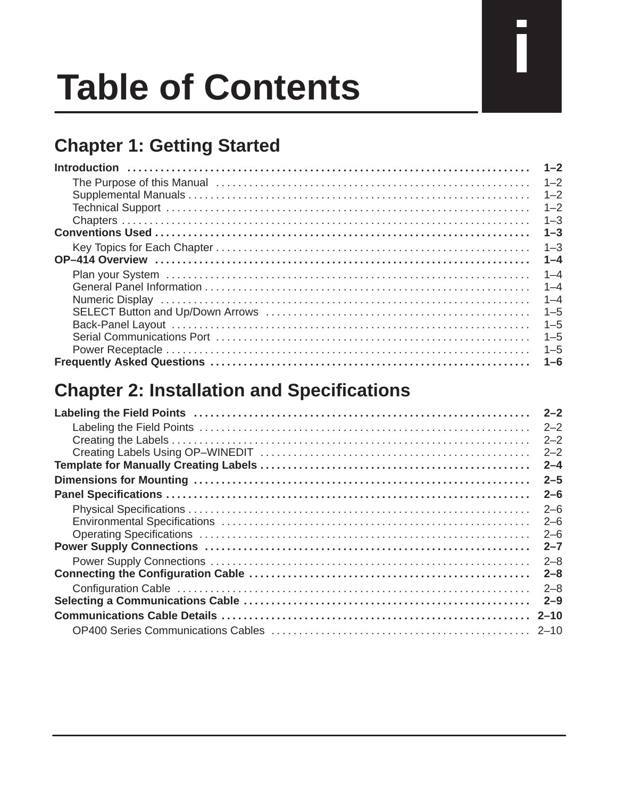# **Table of Contents**

## **Chapter 1: Getting Started**

| $1 - 2$ |
|---------|
| $1 - 2$ |
| $1 - 2$ |
| $1 - 2$ |
| $1 - 3$ |
| $1 - 3$ |
| $1 - 3$ |
| $1 - 4$ |
| $1 - 4$ |
| $1 - 4$ |
| $1 - 4$ |
| $1 - 5$ |
| $1 - 5$ |
| $1 - 5$ |
| $1 - 5$ |
| $1 - 6$ |

#### **Chapter 2: Installation and Specifications**

| $2 - 2$  |
|----------|
| $2 - 2$  |
| $2 - 2$  |
| $2 - 2$  |
| $2 - 4$  |
| $2 - 5$  |
| $2 - 6$  |
| $2 - 6$  |
| $2 - 6$  |
| $2 - 6$  |
| $2 - 7$  |
| $2 - 8$  |
| $2 - 8$  |
| $2 - 8$  |
| $2 - 9$  |
| $2 - 10$ |
|          |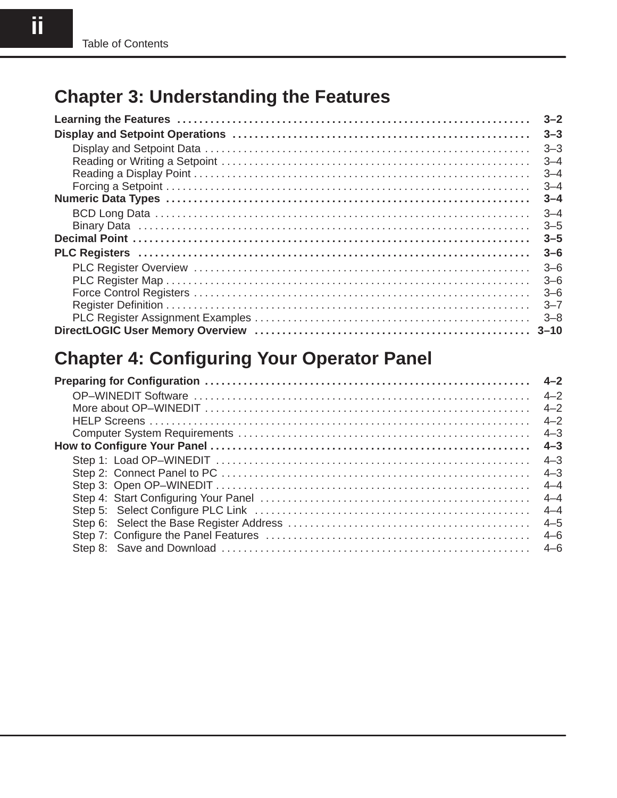#### **Chapter 3: Understanding the Features**

| $3 - 2$ |
|---------|
| $3 - 3$ |
| $3 - 3$ |
| $3 - 4$ |
| $3 - 4$ |
| $3 - 4$ |
| $3 - 4$ |
| $3 - 4$ |
| $3 - 5$ |
| $3 - 5$ |
| $3 - 6$ |
| $3 - 6$ |
| $3 - 6$ |
| $3 - 6$ |
| $3 - 7$ |
| $3 - 8$ |
|         |

## **Chapter 4: Configuring Your Operator Panel**

| $4 - 2$ |
|---------|
| $4 - 2$ |
| $4 - 2$ |
| $4 - 3$ |
| $4 - 3$ |
| $4 - 3$ |
| $4 - 3$ |
| $4 - 4$ |
| $4 - 4$ |
| $4 - 4$ |
| $4 - 5$ |
| $4 - 6$ |
|         |
|         |